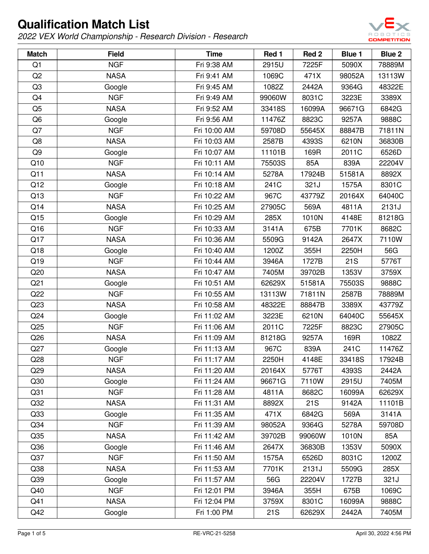

| <b>Match</b>    | <b>Field</b> | <b>Time</b>  | Red 1      | Red 2  | Blue 1 | Blue 2 |
|-----------------|--------------|--------------|------------|--------|--------|--------|
| Q1              | <b>NGF</b>   | Fri 9:38 AM  | 2915U      | 7225F  | 5090X  | 78889M |
| Q <sub>2</sub>  | <b>NASA</b>  | Fri 9:41 AM  | 1069C      | 471X   | 98052A | 13113W |
| Q <sub>3</sub>  | Google       | Fri 9:45 AM  | 1082Z      | 2442A  | 9364G  | 48322E |
| Q4              | <b>NGF</b>   | Fri 9:49 AM  | 99060W     | 8031C  | 3223E  | 3389X  |
| Q <sub>5</sub>  | <b>NASA</b>  | Fri 9:52 AM  | 33418S     | 16099A | 96671G | 6842G  |
| Q <sub>6</sub>  | Google       | Fri 9:56 AM  | 11476Z     | 8823C  | 9257A  | 9888C  |
| Q7              | <b>NGF</b>   | Fri 10:00 AM | 59708D     | 55645X | 88847B | 71811N |
| Q8              | <b>NASA</b>  | Fri 10:03 AM | 2587B      | 4393S  | 6210N  | 36830B |
| Q9              | Google       | Fri 10:07 AM | 11101B     | 169R   | 2011C  | 6526D  |
| Q10             | <b>NGF</b>   | Fri 10:11 AM | 75503S     | 85A    | 839A   | 22204V |
| Q11             | <b>NASA</b>  | Fri 10:14 AM | 5278A      | 17924B | 51581A | 8892X  |
| Q12             | Google       | Fri 10:18 AM | 241C       | 321J   | 1575A  | 8301C  |
| Q13             | <b>NGF</b>   | Fri 10:22 AM | 967C       | 43779Z | 20164X | 64040C |
| Q14             | <b>NASA</b>  | Fri 10:25 AM | 27905C     | 569A   | 4811A  | 2131J  |
| Q15             | Google       | Fri 10:29 AM | 285X       | 1010N  | 4148E  | 81218G |
| Q16             | <b>NGF</b>   | Fri 10:33 AM | 3141A      | 675B   | 7701K  | 8682C  |
| Q17             | <b>NASA</b>  | Fri 10:36 AM | 5509G      | 9142A  | 2647X  | 7110W  |
| Q18             | Google       | Fri 10:40 AM | 1200Z      | 355H   | 2250H  | 56G    |
| Q19             | <b>NGF</b>   | Fri 10:44 AM | 3946A      | 1727B  | 21S    | 5776T  |
| Q20             | <b>NASA</b>  | Fri 10:47 AM | 7405M      | 39702B | 1353V  | 3759X  |
| Q <sub>21</sub> | Google       | Fri 10:51 AM | 62629X     | 51581A | 75503S | 9888C  |
| Q22             | <b>NGF</b>   | Fri 10:55 AM | 13113W     | 71811N | 2587B  | 78889M |
| Q23             | <b>NASA</b>  | Fri 10:58 AM | 48322E     | 88847B | 3389X  | 43779Z |
| Q24             | Google       | Fri 11:02 AM | 3223E      | 6210N  | 64040C | 55645X |
| Q25             | <b>NGF</b>   | Fri 11:06 AM | 2011C      | 7225F  | 8823C  | 27905C |
| Q26             | <b>NASA</b>  | Fri 11:09 AM | 81218G     | 9257A  | 169R   | 1082Z  |
| Q27             | Google       | Fri 11:13 AM | 967C       | 839A   | 241C   | 11476Z |
| Q28             | <b>NGF</b>   | Fri 11:17 AM | 2250H      | 4148E  | 33418S | 17924B |
| Q29             | <b>NASA</b>  | Fri 11:20 AM | 20164X     | 5776T  | 4393S  | 2442A  |
| Q30             | Google       | Fri 11:24 AM | 96671G     | 7110W  | 2915U  | 7405M  |
| Q <sub>31</sub> | <b>NGF</b>   | Fri 11:28 AM | 4811A      | 8682C  | 16099A | 62629X |
| Q32             | <b>NASA</b>  | Fri 11:31 AM | 8892X      | 21S    | 9142A  | 11101B |
| Q33             | Google       | Fri 11:35 AM | 471X       | 6842G  | 569A   | 3141A  |
| Q34             | <b>NGF</b>   | Fri 11:39 AM | 98052A     | 9364G  | 5278A  | 59708D |
| Q35             | <b>NASA</b>  | Fri 11:42 AM | 39702B     | 99060W | 1010N  | 85A    |
| Q36             | Google       | Fri 11:46 AM | 2647X      | 36830B | 1353V  | 5090X  |
| Q37             | <b>NGF</b>   | Fri 11:50 AM | 1575A      | 6526D  | 8031C  | 1200Z  |
| Q38             | <b>NASA</b>  | Fri 11:53 AM | 7701K      | 2131J  | 5509G  | 285X   |
| Q39             | Google       | Fri 11:57 AM | 56G        | 22204V | 1727B  | 321J   |
| Q40             | <b>NGF</b>   | Fri 12:01 PM | 3946A      | 355H   | 675B   | 1069C  |
| Q41             | <b>NASA</b>  | Fri 12:04 PM | 3759X      | 8301C  | 16099A | 9888C  |
| Q42             | Google       | Fri 1:00 PM  | <b>21S</b> | 62629X | 2442A  | 7405M  |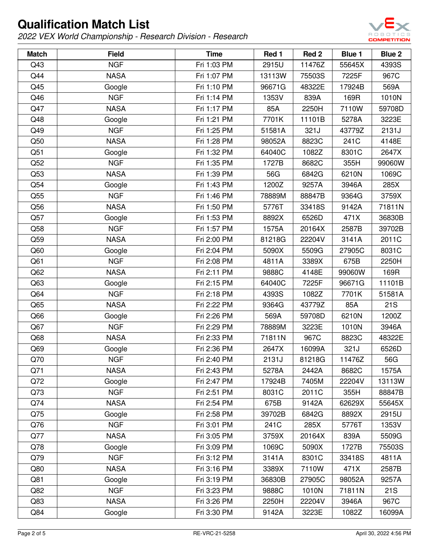

| <b>Match</b> | <b>Field</b> | <b>Time</b> | Red 1  | Red <sub>2</sub> | <b>Blue 1</b> | Blue 2 |
|--------------|--------------|-------------|--------|------------------|---------------|--------|
| Q43          | <b>NGF</b>   | Fri 1:03 PM | 2915U  | 11476Z           | 55645X        | 4393S  |
| Q44          | <b>NASA</b>  | Fri 1:07 PM | 13113W | 75503S           | 7225F         | 967C   |
| Q45          | Google       | Fri 1:10 PM | 96671G | 48322E           | 17924B        | 569A   |
| Q46          | <b>NGF</b>   | Fri 1:14 PM | 1353V  | 839A             | 169R          | 1010N  |
| Q47          | <b>NASA</b>  | Fri 1:17 PM | 85A    | 2250H            | 7110W         | 59708D |
| Q48          | Google       | Fri 1:21 PM | 7701K  | 11101B           | 5278A         | 3223E  |
| Q49          | <b>NGF</b>   | Fri 1:25 PM | 51581A | 321J             | 43779Z        | 2131J  |
| Q50          | <b>NASA</b>  | Fri 1:28 PM | 98052A | 8823C            | 241C          | 4148E  |
| Q51          | Google       | Fri 1:32 PM | 64040C | 1082Z            | 8301C         | 2647X  |
| Q52          | <b>NGF</b>   | Fri 1:35 PM | 1727B  | 8682C            | 355H          | 99060W |
| Q53          | <b>NASA</b>  | Fri 1:39 PM | 56G    | 6842G            | 6210N         | 1069C  |
| Q54          | Google       | Fri 1:43 PM | 1200Z  | 9257A            | 3946A         | 285X   |
| Q55          | <b>NGF</b>   | Fri 1:46 PM | 78889M | 88847B           | 9364G         | 3759X  |
| Q56          | <b>NASA</b>  | Fri 1:50 PM | 5776T  | 33418S           | 9142A         | 71811N |
| Q57          | Google       | Fri 1:53 PM | 8892X  | 6526D            | 471X          | 36830B |
| Q58          | <b>NGF</b>   | Fri 1:57 PM | 1575A  | 20164X           | 2587B         | 39702B |
| Q59          | <b>NASA</b>  | Fri 2:00 PM | 81218G | 22204V           | 3141A         | 2011C  |
| Q60          | Google       | Fri 2:04 PM | 5090X  | 5509G            | 27905C        | 8031C  |
| Q61          | <b>NGF</b>   | Fri 2:08 PM | 4811A  | 3389X            | 675B          | 2250H  |
| Q62          | <b>NASA</b>  | Fri 2:11 PM | 9888C  | 4148E            | 99060W        | 169R   |
| Q63          | Google       | Fri 2:15 PM | 64040C | 7225F            | 96671G        | 11101B |
| Q64          | <b>NGF</b>   | Fri 2:18 PM | 4393S  | 1082Z            | 7701K         | 51581A |
| Q65          | <b>NASA</b>  | Fri 2:22 PM | 9364G  | 43779Z           | 85A           | 21S    |
| Q66          | Google       | Fri 2:26 PM | 569A   | 59708D           | 6210N         | 1200Z  |
| Q67          | <b>NGF</b>   | Fri 2:29 PM | 78889M | 3223E            | 1010N         | 3946A  |
| Q68          | <b>NASA</b>  | Fri 2:33 PM | 71811N | 967C             | 8823C         | 48322E |
| Q69          | Google       | Fri 2:36 PM | 2647X  | 16099A           | 321J          | 6526D  |
| Q70          | <b>NGF</b>   | Fri 2:40 PM | 2131J  | 81218G           | 11476Z        | 56G    |
| Q71          | <b>NASA</b>  | Fri 2:43 PM | 5278A  | 2442A            | 8682C         | 1575A  |
| Q72          | Google       | Fri 2:47 PM | 17924B | 7405M            | 22204V        | 13113W |
| Q73          | <b>NGF</b>   | Fri 2:51 PM | 8031C  | 2011C            | 355H          | 88847B |
| Q74          | <b>NASA</b>  | Fri 2:54 PM | 675B   | 9142A            | 62629X        | 55645X |
| Q75          | Google       | Fri 2:58 PM | 39702B | 6842G            | 8892X         | 2915U  |
| Q76          | <b>NGF</b>   | Fri 3:01 PM | 241C   | 285X             | 5776T         | 1353V  |
| Q77          | <b>NASA</b>  | Fri 3:05 PM | 3759X  | 20164X           | 839A          | 5509G  |
| Q78          | Google       | Fri 3:09 PM | 1069C  | 5090X            | 1727B         | 75503S |
| Q79          | <b>NGF</b>   | Fri 3:12 PM | 3141A  | 8301C            | 33418S        | 4811A  |
| Q80          | <b>NASA</b>  | Fri 3:16 PM | 3389X  | 7110W            | 471X          | 2587B  |
| Q81          | Google       | Fri 3:19 PM | 36830B | 27905C           | 98052A        | 9257A  |
| Q82          | <b>NGF</b>   | Fri 3:23 PM | 9888C  | 1010N            | 71811N        | 21S    |
| Q83          | <b>NASA</b>  | Fri 3:26 PM | 2250H  | 22204V           | 3946A         | 967C   |
| Q84          | Google       | Fri 3:30 PM | 9142A  | 3223E            | 1082Z         | 16099A |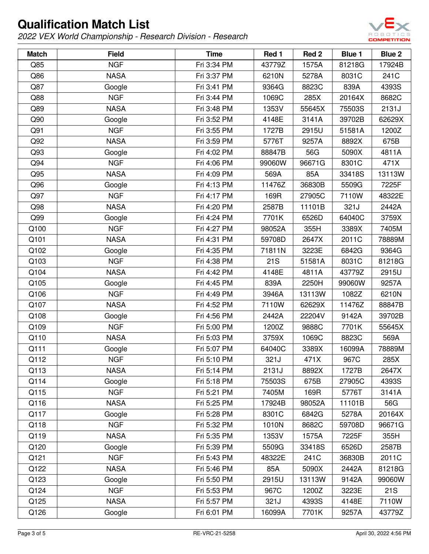

| <b>Match</b> | <b>Field</b> | <b>Time</b> | Red 1  | Red <sub>2</sub> | <b>Blue 1</b> | Blue 2 |
|--------------|--------------|-------------|--------|------------------|---------------|--------|
| Q85          | <b>NGF</b>   | Fri 3:34 PM | 43779Z | 1575A            | 81218G        | 17924B |
| Q86          | <b>NASA</b>  | Fri 3:37 PM | 6210N  | 5278A            | 8031C         | 241C   |
| Q87          | Google       | Fri 3:41 PM | 9364G  | 8823C            | 839A          | 4393S  |
| Q88          | <b>NGF</b>   | Fri 3:44 PM | 1069C  | 285X             | 20164X        | 8682C  |
| Q89          | <b>NASA</b>  | Fri 3:48 PM | 1353V  | 55645X           | 75503S        | 2131J  |
| Q90          | Google       | Fri 3:52 PM | 4148E  | 3141A            | 39702B        | 62629X |
| Q91          | <b>NGF</b>   | Fri 3:55 PM | 1727B  | 2915U            | 51581A        | 1200Z  |
| Q92          | <b>NASA</b>  | Fri 3:59 PM | 5776T  | 9257A            | 8892X         | 675B   |
| Q93          | Google       | Fri 4:02 PM | 88847B | 56G              | 5090X         | 4811A  |
| Q94          | <b>NGF</b>   | Fri 4:06 PM | 99060W | 96671G           | 8301C         | 471X   |
| Q95          | <b>NASA</b>  | Fri 4:09 PM | 569A   | 85A              | 33418S        | 13113W |
| Q96          | Google       | Fri 4:13 PM | 11476Z | 36830B           | 5509G         | 7225F  |
| Q97          | <b>NGF</b>   | Fri 4:17 PM | 169R   | 27905C           | 7110W         | 48322E |
| Q98          | <b>NASA</b>  | Fri 4:20 PM | 2587B  | 11101B           | 321J          | 2442A  |
| Q99          | Google       | Fri 4:24 PM | 7701K  | 6526D            | 64040C        | 3759X  |
| Q100         | <b>NGF</b>   | Fri 4:27 PM | 98052A | 355H             | 3389X         | 7405M  |
| Q101         | <b>NASA</b>  | Fri 4:31 PM | 59708D | 2647X            | 2011C         | 78889M |
| Q102         | Google       | Fri 4:35 PM | 71811N | 3223E            | 6842G         | 9364G  |
| Q103         | <b>NGF</b>   | Fri 4:38 PM | 21S    | 51581A           | 8031C         | 81218G |
| Q104         | <b>NASA</b>  | Fri 4:42 PM | 4148E  | 4811A            | 43779Z        | 2915U  |
| Q105         | Google       | Fri 4:45 PM | 839A   | 2250H            | 99060W        | 9257A  |
| Q106         | <b>NGF</b>   | Fri 4:49 PM | 3946A  | 13113W           | 1082Z         | 6210N  |
| Q107         | <b>NASA</b>  | Fri 4:52 PM | 7110W  | 62629X           | 11476Z        | 88847B |
| Q108         | Google       | Fri 4:56 PM | 2442A  | 22204V           | 9142A         | 39702B |
| Q109         | <b>NGF</b>   | Fri 5:00 PM | 1200Z  | 9888C            | 7701K         | 55645X |
| Q110         | <b>NASA</b>  | Fri 5:03 PM | 3759X  | 1069C            | 8823C         | 569A   |
| Q111         | Google       | Fri 5:07 PM | 64040C | 3389X            | 16099A        | 78889M |
| Q112         | <b>NGF</b>   | Fri 5:10 PM | 321J   | 471X             | 967C          | 285X   |
| Q113         | <b>NASA</b>  | Fri 5:14 PM | 2131J  | 8892X            | 1727B         | 2647X  |
| Q114         | Google       | Fri 5:18 PM | 75503S | 675B             | 27905C        | 4393S  |
| Q115         | <b>NGF</b>   | Fri 5:21 PM | 7405M  | 169R             | 5776T         | 3141A  |
| Q116         | <b>NASA</b>  | Fri 5:25 PM | 17924B | 98052A           | 11101B        | 56G    |
| Q117         | Google       | Fri 5:28 PM | 8301C  | 6842G            | 5278A         | 20164X |
| Q118         | <b>NGF</b>   | Fri 5:32 PM | 1010N  | 8682C            | 59708D        | 96671G |
| Q119         | <b>NASA</b>  | Fri 5:35 PM | 1353V  | 1575A            | 7225F         | 355H   |
| Q120         | Google       | Fri 5:39 PM | 5509G  | 33418S           | 6526D         | 2587B  |
| Q121         | <b>NGF</b>   | Fri 5:43 PM | 48322E | 241C             | 36830B        | 2011C  |
| Q122         | <b>NASA</b>  | Fri 5:46 PM | 85A    | 5090X            | 2442A         | 81218G |
| Q123         | Google       | Fri 5:50 PM | 2915U  | 13113W           | 9142A         | 99060W |
| Q124         | <b>NGF</b>   | Fri 5:53 PM | 967C   | 1200Z            | 3223E         | 21S    |
| Q125         | <b>NASA</b>  | Fri 5:57 PM | 321J   | 4393S            | 4148E         | 7110W  |
| Q126         | Google       | Fri 6:01 PM | 16099A | 7701K            | 9257A         | 43779Z |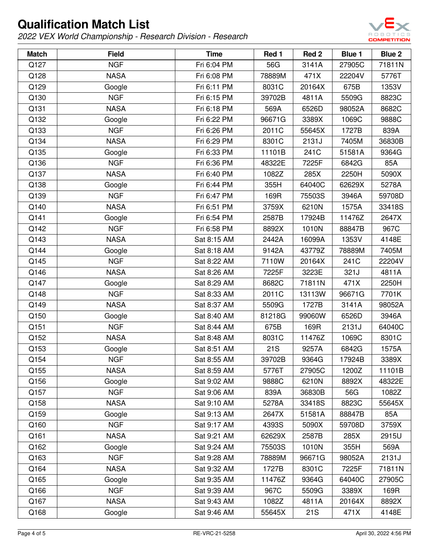

| <b>Match</b> | <b>Field</b> | <b>Time</b> | Red 1      | Red <sub>2</sub> | <b>Blue 1</b> | Blue 2 |
|--------------|--------------|-------------|------------|------------------|---------------|--------|
| Q127         | <b>NGF</b>   | Fri 6:04 PM | 56G        | 3141A            | 27905C        | 71811N |
| Q128         | <b>NASA</b>  | Fri 6:08 PM | 78889M     | 471X             | 22204V        | 5776T  |
| Q129         | Google       | Fri 6:11 PM | 8031C      | 20164X           | 675B          | 1353V  |
| Q130         | <b>NGF</b>   | Fri 6:15 PM | 39702B     | 4811A            | 5509G         | 8823C  |
| Q131         | <b>NASA</b>  | Fri 6:18 PM | 569A       | 6526D            | 98052A        | 8682C  |
| Q132         | Google       | Fri 6:22 PM | 96671G     | 3389X            | 1069C         | 9888C  |
| Q133         | <b>NGF</b>   | Fri 6:26 PM | 2011C      | 55645X           | 1727B         | 839A   |
| Q134         | <b>NASA</b>  | Fri 6:29 PM | 8301C      | 2131J            | 7405M         | 36830B |
| Q135         | Google       | Fri 6:33 PM | 11101B     | 241C             | 51581A        | 9364G  |
| Q136         | <b>NGF</b>   | Fri 6:36 PM | 48322E     | 7225F            | 6842G         | 85A    |
| Q137         | <b>NASA</b>  | Fri 6:40 PM | 1082Z      | 285X             | 2250H         | 5090X  |
| Q138         | Google       | Fri 6:44 PM | 355H       | 64040C           | 62629X        | 5278A  |
| Q139         | <b>NGF</b>   | Fri 6:47 PM | 169R       | 75503S           | 3946A         | 59708D |
| Q140         | <b>NASA</b>  | Fri 6:51 PM | 3759X      | 6210N            | 1575A         | 33418S |
| Q141         | Google       | Fri 6:54 PM | 2587B      | 17924B           | 11476Z        | 2647X  |
| Q142         | <b>NGF</b>   | Fri 6:58 PM | 8892X      | 1010N            | 88847B        | 967C   |
| Q143         | <b>NASA</b>  | Sat 8:15 AM | 2442A      | 16099A           | 1353V         | 4148E  |
| Q144         | Google       | Sat 8:18 AM | 9142A      | 43779Z           | 78889M        | 7405M  |
| Q145         | <b>NGF</b>   | Sat 8:22 AM | 7110W      | 20164X           | 241C          | 22204V |
| Q146         | <b>NASA</b>  | Sat 8:26 AM | 7225F      | 3223E            | 321J          | 4811A  |
| Q147         | Google       | Sat 8:29 AM | 8682C      | 71811N           | 471X          | 2250H  |
| Q148         | <b>NGF</b>   | Sat 8:33 AM | 2011C      | 13113W           | 96671G        | 7701K  |
| Q149         | <b>NASA</b>  | Sat 8:37 AM | 5509G      | 1727B            | 3141A         | 98052A |
| Q150         | Google       | Sat 8:40 AM | 81218G     | 99060W           | 6526D         | 3946A  |
| Q151         | <b>NGF</b>   | Sat 8:44 AM | 675B       | 169R             | 2131J         | 64040C |
| Q152         | <b>NASA</b>  | Sat 8:48 AM | 8031C      | 11476Z           | 1069C         | 8301C  |
| Q153         | Google       | Sat 8:51 AM | <b>21S</b> | 9257A            | 6842G         | 1575A  |
| Q154         | <b>NGF</b>   | Sat 8:55 AM | 39702B     | 9364G            | 17924B        | 3389X  |
| Q155         | <b>NASA</b>  | Sat 8:59 AM | 5776T      | 27905C           | 1200Z         | 11101B |
| Q156         | Google       | Sat 9:02 AM | 9888C      | 6210N            | 8892X         | 48322E |
| Q157         | <b>NGF</b>   | Sat 9:06 AM | 839A       | 36830B           | 56G           | 1082Z  |
| Q158         | <b>NASA</b>  | Sat 9:10 AM | 5278A      | 33418S           | 8823C         | 55645X |
| Q159         | Google       | Sat 9:13 AM | 2647X      | 51581A           | 88847B        | 85A    |
| Q160         | <b>NGF</b>   | Sat 9:17 AM | 4393S      | 5090X            | 59708D        | 3759X  |
| Q161         | <b>NASA</b>  | Sat 9:21 AM | 62629X     | 2587B            | 285X          | 2915U  |
| Q162         | Google       | Sat 9:24 AM | 75503S     | 1010N            | 355H          | 569A   |
| Q163         | <b>NGF</b>   | Sat 9:28 AM | 78889M     | 96671G           | 98052A        | 2131J  |
| Q164         | <b>NASA</b>  | Sat 9:32 AM | 1727B      | 8301C            | 7225F         | 71811N |
| Q165         | Google       | Sat 9:35 AM | 11476Z     | 9364G            | 64040C        | 27905C |
| Q166         | <b>NGF</b>   | Sat 9:39 AM | 967C       | 5509G            | 3389X         | 169R   |
| Q167         | <b>NASA</b>  | Sat 9:43 AM | 1082Z      | 4811A            | 20164X        | 8892X  |
| Q168         | Google       | Sat 9:46 AM | 55645X     | 21S              | 471X          | 4148E  |